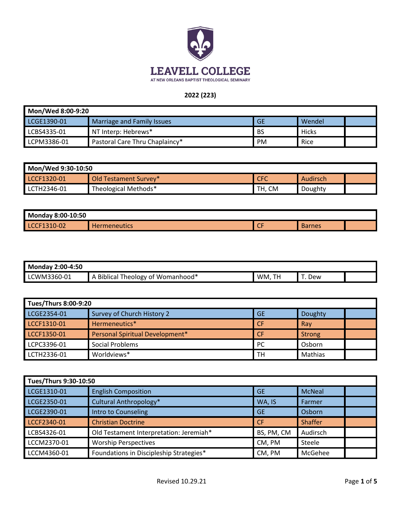

#### **2022 (223)**

| Mon/Wed 8:00-9:20 |                                |           |        |  |
|-------------------|--------------------------------|-----------|--------|--|
| LCGE1390-01       | Marriage and Family Issues     | <b>GE</b> | Wendel |  |
| LCBS4335-01       | NT Interp: Hebrews*            | <b>BS</b> | Hicks  |  |
| LCPM3386-01       | Pastoral Care Thru Chaplaincy* | <b>PM</b> | Rice   |  |

| Mon/Wed 9:30-10:50 |                       |            |          |  |
|--------------------|-----------------------|------------|----------|--|
| LCCF1320-01        | Old Testament Survey* | <b>CFC</b> | Audirsch |  |
| LCTH2346-01        | Theological Methods*  | TH, CM     | Doughty  |  |

| Monday 8:00-10:50            |                     |                     |               |  |
|------------------------------|---------------------|---------------------|---------------|--|
| <b>LCCF</b><br>10-02<br>20 O | <b>Hermeneutics</b> | $\sim$ $\sim$<br>-- | <b>Barnes</b> |  |

| Monday.<br>2:00-4:50 |                                                |           |     |  |
|----------------------|------------------------------------------------|-----------|-----|--|
| LCWM3360-01          | Momanhood*<br>fheology of <b>'</b><br>Biblical | WM,<br>TH | Dew |  |

| Tues/Thurs 8:00-9:20 |                                 |           |               |  |
|----------------------|---------------------------------|-----------|---------------|--|
| LCGE2354-01          | Survey of Church History 2      | <b>GE</b> | Doughty       |  |
| LCCF1310-01          | Hermeneutics*                   | CF        | Rav           |  |
| LCCF1350-01          | Personal Spiritual Development* | <b>CF</b> | <b>Strong</b> |  |
| LCPC3396-01          | Social Problems                 | PC        | Osborn        |  |
| LCTH2336-01          | Worldviews*                     | <b>TH</b> | Mathias       |  |

| Tues/Thurs 9:30-10:50 |                                         |            |                |  |
|-----------------------|-----------------------------------------|------------|----------------|--|
| LCGE1310-01           | <b>English Composition</b>              | <b>GE</b>  | <b>McNeal</b>  |  |
| LCGE2350-01           | Cultural Anthropology*                  | WA, IS     | Farmer         |  |
| LCGE2390-01           | Intro to Counseling                     | <b>GE</b>  | Osborn         |  |
| LCCF2340-01           | <b>Christian Doctrine</b>               | <b>CF</b>  | <b>Shaffer</b> |  |
| LCBS4326-01           | Old Testament Interpretation: Jeremiah* | BS, PM, CM | Audirsch       |  |
| LCCM2370-01           | <b>Worship Perspectives</b>             | CM, PM     | Steele         |  |
| LCCM4360-01           | Foundations in Discipleship Strategies* | CM, PM     | McGehee        |  |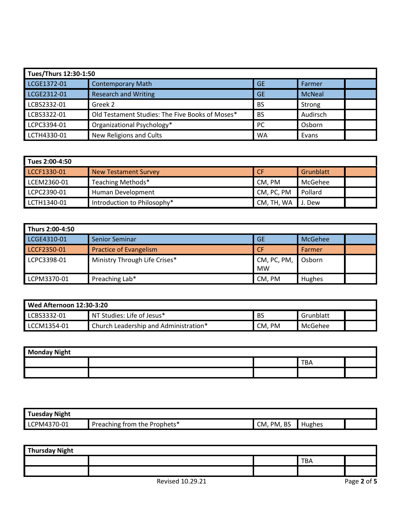| Tues/Thurs 12:30-1:50 |                                                 |           |               |
|-----------------------|-------------------------------------------------|-----------|---------------|
| LCGE1372-01           | <b>Contemporary Math</b>                        | <b>GE</b> | Farmer        |
| LCGE2312-01           | <b>Research and Writing</b>                     | <b>GE</b> | <b>McNeal</b> |
| LCBS2332-01           | Greek 2                                         | <b>BS</b> | Strong        |
| LCBS3322-01           | Old Testament Studies: The Five Books of Moses* | <b>BS</b> | Audirsch      |
| LCPC3394-01           | Organizational Psychology*                      | <b>PC</b> | Osborn        |
| LCTH4330-01           | New Religions and Cults                         | <b>WA</b> | Evans         |

| Tues 2:00-4:50 |                             |            |           |  |
|----------------|-----------------------------|------------|-----------|--|
| LCCF1330-01    | <b>New Testament Survey</b> | <b>CF</b>  | Grunblatt |  |
| LCEM2360-01    | Teaching Methods*           | CM, PM     | McGehee   |  |
| LCPC2390-01    | <b>Human Development</b>    | CM, PC, PM | Pollard   |  |
| LCTH1340-01    | Introduction to Philosophy* | CM, TH, WA | J. Dew    |  |

| Thurs 2:00-4:50 |                               |                          |                |  |
|-----------------|-------------------------------|--------------------------|----------------|--|
| LCGE4310-01     | <b>Senior Seminar</b>         | <b>GE</b>                | <b>McGehee</b> |  |
| LCCF2350-01     | Practice of Evangelism        | <b>CF</b>                | Farmer         |  |
| LCPC3398-01     | Ministry Through Life Crises* | CM, PC, PM,<br><b>MW</b> | Osborn         |  |
| LCPM3370-01     | Preaching Lab*                | CM, PM                   | Hughes         |  |

| Wed Afternoon $12:30-3:20$ |                                       |                  |           |  |
|----------------------------|---------------------------------------|------------------|-----------|--|
| LCBS3332-01                | NT Studies: Life of Jesus*            | <b>BS</b>        | Grunblatt |  |
| LCCM1354-01                | Church Leadership and Administration* | CM.<br><b>PM</b> | McGehee   |  |

| <b>Monday Night</b> |  |  |     |  |  |
|---------------------|--|--|-----|--|--|
|                     |  |  | тва |  |  |
|                     |  |  |     |  |  |

| Tuesday Night |                              |                      |        |  |
|---------------|------------------------------|----------------------|--------|--|
| LCPM4370-01   | Preaching from the Prophets* | <b>BS</b><br>CM, PM, | Hughes |  |

| <b>Thursday Night</b> |  |  |            |  |
|-----------------------|--|--|------------|--|
|                       |  |  | <b>TBA</b> |  |
|                       |  |  |            |  |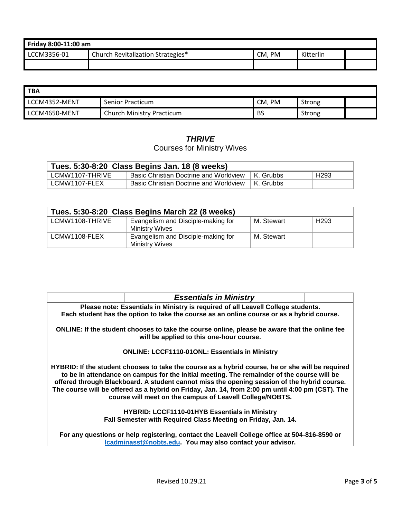| Friday 8:00-11:00 am |                                   |        |           |  |
|----------------------|-----------------------------------|--------|-----------|--|
| LCCM3356-01          | Church Revitalization Strategies* | CM. PM | Kitterlin |  |
|                      |                                   |        |           |  |

| <b>TBA</b>    |                                  |           |        |  |
|---------------|----------------------------------|-----------|--------|--|
| LCCM4352-MENT | <b>Senior Practicum</b>          | CM, PM    | Strong |  |
| LCCM4650-MENT | <b>Church Ministry Practicum</b> | <b>BS</b> | Strong |  |

## *THRIVE*

# Courses for Ministry Wives

| Tues. 5:30-8:20 Class Begins Jan. 18 (8 weeks) |                                                    |  |                  |  |
|------------------------------------------------|----------------------------------------------------|--|------------------|--|
| LCMW1107-THRIVE                                | Basic Christian Doctrine and Worldview   K. Grubbs |  | H <sub>293</sub> |  |
| LCMW1107-FLEX                                  | Basic Christian Doctrine and Worldview   K. Grubbs |  |                  |  |

| Tues. 5:30-8:20 Class Begins March 22 (8 weeks) |                                                      |            |                  |
|-------------------------------------------------|------------------------------------------------------|------------|------------------|
| LCMW1108-THRIVE                                 | Evangelism and Disciple-making for<br>Ministry Wives | M. Stewart | H <sub>293</sub> |
| LCMW1108-FLEX                                   | Evangelism and Disciple-making for<br>Ministry Wives | M. Stewart |                  |

| <b>Essentials in Ministry</b>                                                                                                                                                                                                                                                                                                                                                                                                                                 |  |  |  |
|---------------------------------------------------------------------------------------------------------------------------------------------------------------------------------------------------------------------------------------------------------------------------------------------------------------------------------------------------------------------------------------------------------------------------------------------------------------|--|--|--|
| Please note: Essentials in Ministry is required of all Leavell College students.                                                                                                                                                                                                                                                                                                                                                                              |  |  |  |
| Each student has the option to take the course as an online course or as a hybrid course.                                                                                                                                                                                                                                                                                                                                                                     |  |  |  |
| ONLINE: If the student chooses to take the course online, please be aware that the online fee<br>will be applied to this one-hour course.                                                                                                                                                                                                                                                                                                                     |  |  |  |
| <b>ONLINE: LCCF1110-01ONL: Essentials in Ministry</b>                                                                                                                                                                                                                                                                                                                                                                                                         |  |  |  |
| HYBRID: If the student chooses to take the course as a hybrid course, he or she will be required<br>to be in attendance on campus for the initial meeting. The remainder of the course will be<br>offered through Blackboard. A student cannot miss the opening session of the hybrid course.<br>The course will be offered as a hybrid on Friday, Jan. 14, from 2:00 pm until 4:00 pm (CST). The<br>course will meet on the campus of Leavell College/NOBTS. |  |  |  |
| <b>HYBRID: LCCF1110-01HYB Essentials in Ministry</b><br>Fall Semester with Required Class Meeting on Friday, Jan. 14.                                                                                                                                                                                                                                                                                                                                         |  |  |  |
| For any questions or help registering, contact the Leavell College office at 504-816-8590 or<br>Icadminasst@nobts.edu. You may also contact your advisor.                                                                                                                                                                                                                                                                                                     |  |  |  |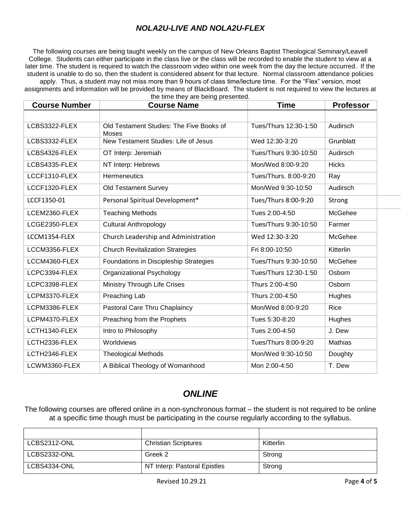### *NOLA2U-LIVE AND NOLA2U-FLEX*

The following courses are being taught weekly on the campus of New Orleans Baptist Theological Seminary/Leavell College. Students can either participate in the class live or the class will be recorded to enable the student to view at a later time. The student is required to watch the classroom video within one week from the day the lecture occurred. If the student is unable to do so, then the student is considered absent for that lecture. Normal classroom attendance policies

apply. Thus, a student may not miss more than 9 hours of class time/lecture time. For the "Flex" version, most assignments and information will be provided by means of BlackBoard. The student is not required to view the lectures at the time they are being presented.

| <b>Course Number</b> | <b>Course Name</b>                                | <b>Time</b>           | <b>Professor</b> |
|----------------------|---------------------------------------------------|-----------------------|------------------|
|                      |                                                   |                       |                  |
| LCBS3322-FLEX        | Old Testament Studies: The Five Books of<br>Moses | Tues/Thurs 12:30-1:50 | Audirsch         |
| LCBS3332-FLEX        | New Testament Studies: Life of Jesus              | Wed 12:30-3:20        | Grunblatt        |
| LCBS4326-FLEX        | OT Interp: Jeremiah                               | Tues/Thurs 9:30-10:50 | Audirsch         |
| LCBS4335-FLEX        | NT Interp: Hebrews                                | Mon/Wed 8:00-9:20     | <b>Hicks</b>     |
| LCCF1310-FLEX        | Hermeneutics                                      | Tues/Thurs. 8:00-9:20 | Ray              |
| LCCF1320-FLEX        | <b>Old Testament Survey</b>                       | Mon/Wed 9:30-10:50    | Audirsch         |
| LCCF1350-01          | Personal Spiritual Development*                   | Tues/Thurs 8:00-9:20  | Strong           |
| LCEM2360-FLEX        | <b>Teaching Methods</b>                           | Tues 2:00-4:50        | McGehee          |
| LCGE2350-FLEX        | <b>Cultural Anthropology</b>                      | Tues/Thurs 9:30-10:50 | Farmer           |
| LCCM1354-FLEX        | Church Leadership and Administration              | Wed 12:30-3:20        | McGehee          |
| LCCM3356-FLEX        | <b>Church Revitalization Strategies</b>           | Fri 8:00-10:50        | Kitterlin        |
| LCCM4360-FLEX        | Foundations in Discipleship Strategies            | Tues/Thurs 9:30-10:50 | McGehee          |
| LCPC3394-FLEX        | Organizational Psychology                         | Tues/Thurs 12:30-1:50 | Osborn           |
| LCPC3398-FLEX        | <b>Ministry Through Life Crises</b>               | Thurs 2:00-4:50       | Osborn           |
| LCPM3370-FLEX        | Preaching Lab                                     | Thurs 2:00-4:50       | Hughes           |
| LCPM3386-FLEX        | Pastoral Care Thru Chaplaincy                     | Mon/Wed 8:00-9:20     | Rice             |
| LCPM4370-FLEX        | Preaching from the Prophets                       | Tues 5:30-8:20        | Hughes           |
| LCTH1340-FLEX        | Intro to Philosophy                               | Tues 2:00-4:50        | J. Dew           |
| LCTH2336-FLEX        | Worldviews                                        | Tues/Thurs 8:00-9:20  | Mathias          |
| LCTH2346-FLEX        | <b>Theological Methods</b>                        | Mon/Wed 9:30-10:50    | Doughty          |
| LCWM3360-FLEX        | A Biblical Theology of Womanhood                  | Mon 2:00-4:50         | T. Dew           |

### *ONLINE*

The following courses are offered online in a non-synchronous format – the student is not required to be online at a specific time though must be participating in the course regularly according to the syllabus.

| LCBS2312-ONL | <b>Christian Scriptures</b>  | Kitterlin |
|--------------|------------------------------|-----------|
| LCBS2332-ONL | Greek 2                      | Strong    |
| LCBS4334-ONL | NT Interp: Pastoral Epistles | Strong    |